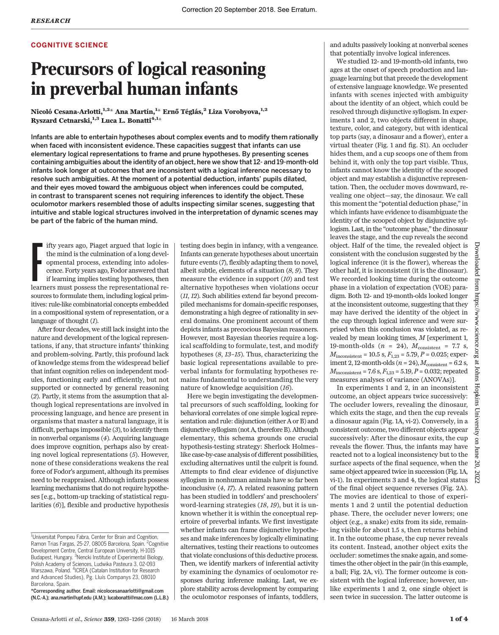#### COGNITIVE SCIENCE

# **Precursors of logical reasoning<br>in preverbal human infants**

in preverbal human infants Nicoló Cesana-Arlotti,1,2\* Ana Martín,1 \* Ernő Téglás,<sup>2</sup> Liza Vorobyova,1,2 Ryszard Cetnarski,<sup>1,3</sup> Luca L. Bonatti<sup>4,1\*</sup>

Infants are able to entertain hypotheses about complex events and to modify them rationally when faced with inconsistent evidence. These capacities suggest that infants can use elementary logical representations to frame and prune hypotheses. By presenting scenes containing ambiguities about the identity of an object, here we show that 12- and 19-month-old infants look longer at outcomes that are inconsistent with a logical inference necessary to resolve such ambiguities. At the moment of a potential deduction, infants' pupils dilated, and their eyes moved toward the ambiguous object when inferences could be computed, in contrast to transparent scenes not requiring inferences to identify the object. These oculomotor markers resembled those of adults inspecting similar scenes, suggesting that intuitive and stable logical structures involved in the interpretation of dynamic scenes may be part of the fabric of the human mind.

Ifty years ago, Piaget argued that logic in the mind is the culmination of a long developmental process, extending into adolescence. Forty years ago, Fodor answered that if learning implies testing hypotheses, then learner ifty years ago, Piaget argued that logic in the mind is the culmination of a long developmental process, extending into adolescence. Forty years ago, Fodor answered that if learning implies testing hypotheses, then sources to formulate them, including logical primitives: rule-like combinatorial concepts embedded in a compositional system of representation, or a language of thought  $(I)$ .

After four decades, we still lack insight into the nature and development of the logical representations, if any, that structure infants' thinking and problem-solving. Partly, this profound lack of knowledge stems from the widespread belief that infant cognition relies on independent modules, functioning early and efficiently, but not supported or connected by general reasoning (2). Partly, it stems from the assumption that although logical representations are involved in processing language, and hence are present in organisms that master a natural language, it is difficult, perhaps impossible (3), to identify them in nonverbal organisms (4). Acquiring language does improve cognition, perhaps also by creating novel logical representations (5). However, none of these considerations weakens the real force of Fodor's argument, although its premises need to be reappraised. Although infants possess learning mechanisms that do not require hypotheses [e.g., bottom-up tracking of statistical regularities  $(6)$ ], flexible and productive hypothesis

testing does begin in infancy, with a vengeance. Infants can generate hypotheses about uncertain future events (7), flexibly adapting them to novel, albeit subtle, elements of a situation  $(8, 9)$ . They measure the evidence in support (10) and test alternative hypotheses when violations occur (11, 12). Such abilities extend far beyond precompiled mechanisms for domain-specific responses, demonstrating a high degree of rationality in several domains. One prominent account of them depicts infants as precocious Bayesian reasoners. However, most Bayesian theories require a logical scaffolding to formulate, test, and modify hypotheses (8, 13–15). Thus, characterizing the basic logical representations available to preverbal infants for formulating hypotheses remains fundamental to understanding the very nature of knowledge acquisition (16).

Here we begin investigating the developmental precursors of such scaffolding, looking for behavioral correlates of one simple logical representation and rule: disjunction (either A or B) and disjunctive syllogism (not A, therefore B). Although elementary, this schema grounds one crucial hypothesis-testing strategy: Sherlock Holmes– like case-by-case analysis of different possibilities, excluding alternatives until the culprit is found. Attempts to find clear evidence of disjunctive syllogism in nonhuman animals have so far been inconclusive (4, 17). A related reasoning pattern has been studied in toddlers' and preschoolers' word-learning strategies (18, 19), but it is unknown whether it is within the conceptual repertoire of preverbal infants. We first investigate whether infants can frame disjunctive hypotheses and make inferences by logically eliminating alternatives, testing their reactions to outcomes that violate conclusions of this deductive process. Then, we identify markers of inferential activity by examining the dynamics of oculomotor responses during inference making. Last, we explore stability across development by comparing the oculomotor responses of infants, toddlers,

and adults passively looking at nonverbal scenes that potentially involve logical inferences.

We studied 12- and 19-month-old infants, two ages at the onset of speech production and language learning but that precede the development of extensive language knowledge. We presented infants with scenes injected with ambiguity about the identity of an object, which could be resolved through disjunctive syllogism. In experiments 1 and 2, two objects different in shape, texture, color, and category, but with identical top parts (say, a dinosaur and a flower), enter a virtual theater (Fig. 1 and fig. S1). An occluder hides them, and a cup scoops one of them from behind it, with only the top part visible. Thus, infants cannot know the identity of the scooped object and may establish a disjunctive representation. Then, the occluder moves downward, revealing one object—say, the dinosaur. We call this moment the "potential deduction phase,"in which infants have evidence to disambiguate the identity of the scooped object by disjunctive syllogism. Last, in the "outcome phase,"the dinosaur leaves the stage, and the cup reveals the second object. Half of the time, the revealed object is consistent with the conclusion suggested by the logical inference (it is the flower), whereas the other half, it is inconsistent (it is the dinosaur). We recorded looking time during the outcome phase in a violation of expectation (VOE) paradigm. Both 12- and 19-month-olds looked longer at the inconsistent outcome, suggesting that they may have derived the identity of the object in the cup through logical inference and were surprised when this conclusion was violated, as revealed by mean looking times, M [experiment 1, 19-month-olds ( $n = 24$ ),  $M_{\text{consistent}} = 7.7 \text{ s}$ ,  $M_{\text{inconsistent}}$  = 10.5 s,  $F_{1,23}$  = 5.79, P = 0.025; experiment 2, 12-month-olds ( $n = 24$ ),  $M_{\text{consistent}} = 6.2$  s,  $M_{\text{inconsistent}} = 7.6$  s,  $F_{1,23} = 5.19, P = 0.032$ ; repeated measures analyses of variance (ANOVAs)].

In experiments 1 and 2, in an inconsistent outcome, an object appears twice successively: The occluder lowers, revealing the dinosaur, which exits the stage, and then the cup reveals a dinosaur again (Fig. 1A, vi-2). Conversely, in a consistent outcome, two different objects appear successively: After the dinosaur exits, the cup reveals the flower. Thus, the infants may have reacted not to a logical inconsistency but to the surface aspects of the final sequence, when the same object appeared twice in succession (Fig. 1A, vi-1). In experiments 3 and 4, the logical status of the final object sequence reverses (Fig. 2A). The movies are identical to those of experiments 1 and 2 until the potential deduction phase. There, the occluder never lowers; one object (e.g., a snake) exits from its side, remaining visible for about 1.5 s, then returns behind it. In the outcome phase, the cup never reveals its content. Instead, another object exits the occluder: sometimes the snake again, and sometimes the other object in the pair (in this example, a ball; Fig. 2A, vi). The former outcome is consistent with the logical inference; however, unlike experiments 1 and 2, one single object is seen twice in succession. The latter outcome is

<sup>&</sup>lt;sup>1</sup>Universitat Pompeu Fabra, Center for Brain and Cognition, Ramon Trias Fargas, 25-27, 08005 Barcelona, Spain. <sup>2</sup>Cognitive Development Centre, Central European University, H-1015 Budapest, Hungary. <sup>3</sup>Nencki Institute of Experimental Biology, Polish Academy of Sciences, Ludwika Pasteura 3, 02-093 Warszawa, Poland. <sup>4</sup>ICREA (Catalan Institution for Research and Advanced Studies), Pg. Lluís Companys 23, 08010 Barcelona, Spain.

<sup>\*</sup>Corresponding author. Email: nicolocesanaarlotti@gmail.com (N.C.-A.); ana.martin@upf.edu (A.M.); lucabonatti@mac.com (L.L.B.)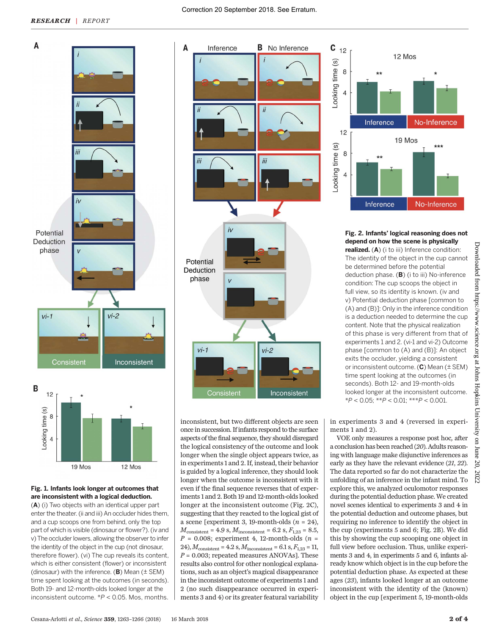#### RESEARCH | REPORT



19 Mos 12 Mos

#### Fig. 1. Infants look longer at outcomes that are inconsistent with a logical deduction.

(A) (i) Two objects with an identical upper part enter the theater. (ii and iii) An occluder hides them, and a cup scoops one from behind, only the top part of which is visible (dinosaur or flower?). (iv and v) The occluder lowers, allowing the observer to infer the identity of the object in the cup (not dinosaur, therefore flower). (vi) The cup reveals its content, which is either consistent (flower) or inconsistent (dinosaur) with the inference.  $(B)$  Mean ( $\pm$  SEM) time spent looking at the outcomes (in seconds). Both 19- and 12-month-olds looked longer at the inconsistent outcome. \*P < 0.05. Mos, months.



inconsistent, but two different objects are seen once in succession. If infants respond to the surface aspects of the final sequence, they should disregard the logical consistency of the outcome and look longer when the single object appears twice, as in experiments 1 and 2. If, instead, their behavior is guided by a logical inference, they should look longer when the outcome is inconsistent with it even if the final sequence reverses that of experiments 1 and 2. Both 19 and 12-month-olds looked longer at the inconsistent outcome (Fig. 2C), suggesting that they reacted to the logical gist of a scene [experiment 3, 19-month-olds  $(n = 24)$ ,  $M_{\text{consistent}} = 4.9 \text{ s}, M_{\text{inconsistent}} = 6.2 \text{ s}, F_{1,23} = 8.5,$  $P = 0.008$ ; experiment 4, 12-month-olds ( $n =$ 24),  $M_{\text{consistent}} = 4.2$  s,  $M_{\text{inconsistent}} = 6.1$  s,  $F_{1,23} = 11$ ,  $P = 0.003$ ; repeated measures ANOVAs]. These results also control for other nonlogical explanations, such as an object's magical disappearance in the inconsistent outcome of experiments 1 and 2 (no such disappearance occurred in experiments 3 and 4) or its greater featural variability



#### Fig. 2. Infants' logical reasoning does not depend on how the scene is physically

realized. (A) (i to iii) Inference condition: The identity of the object in the cup cannot be determined before the potential deduction phase. (B) (i to iii) No-inference condition: The cup scoops the object in full view, so its identity is known. (iv and v) Potential deduction phase [common to (A) and (B)]: Only in the inference condition is a deduction needed to determine the cup content. Note that the physical realization of this phase is very different from that of experiments 1 and 2. (vi-1 and vi-2) Outcome phase [common to (A) and (B)]: An object exits the occluder, yielding a consistent or inconsistent outcome. (C) Mean (± SEM) time spent looking at the outcomes (in seconds). Both 12- and 19-month-olds looked longer at the inconsistent outcome. \*P < 0.05; \*\*P < 0.01; \*\*\*P < 0.001.

in experiments 3 and 4 (reversed in experiments 1 and 2).

VOE only measures a response post hoc, after a conclusion has been reached (20). Adults reasoning with language make disjunctive inferences as early as they have the relevant evidence (21, 22). The data reported so far do not characterize the unfolding of an inference in the infant mind. To explore this, we analyzed oculomotor responses during the potential deduction phase. We created novel scenes identical to experiments 3 and 4 in the potential deduction and outcome phases, but requiring no inference to identify the object in the cup (experiments 5 and 6; Fig. 2B). We did this by showing the cup scooping one object in full view before occlusion. Thus, unlike experiments 3 and 4, in experiments 5 and 6, infants already know which object is in the cup before the potential deduction phase. As expected at these ages (23), infants looked longer at an outcome inconsistent with the identity of the (known) object in the cup [experiment 5, 19-month-olds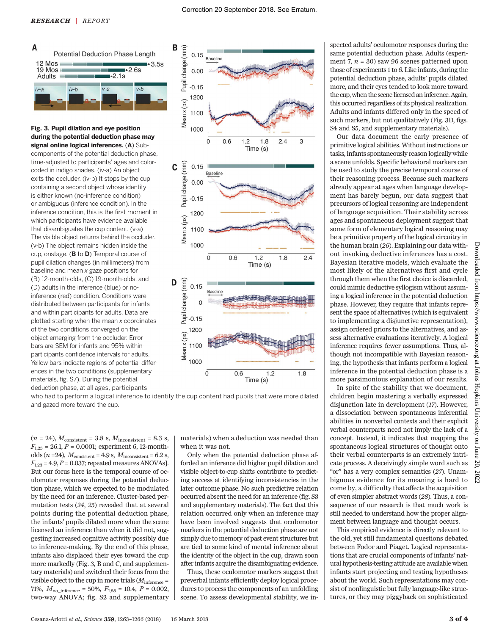

#### Fig. 3. Pupil dilation and eye position during the potential deduction phase may signal online logical inferences. (A) Sub-

components of the potential deduction phase, time-adjusted to participants' ages and colorcoded in indigo shades. (iv-a) An object exits the occluder. (iv-b) It stops by the cup containing a second object whose identity is either known (no-inference condition) or ambiguous (inference condition). In the inference condition, this is the first moment in which participants have evidence available that disambiguates the cup content. (v-a) The visible object returns behind the occluder. (v-b) The object remains hidden inside the cup, onstage. (B to D) Temporal course of pupil dilation changes (in millimeters) from baseline and mean x gaze positions for (B) 12-month-olds, (C) 19-month-olds, and (D) adults in the inference (blue) or noinference (red) condition. Conditions were distributed between participants for infants and within participants for adults. Data are plotted starting when the mean x coordinates of the two conditions converged on the object emerging from the occluder. Error bars are SEM for infants and 95% withinparticipants confidence intervals for adults. Yellow bars indicate regions of potential differences in the two conditions (supplementary materials, fig. S7). During the potential deduction phase, at all ages, participants



who had to perform a logical inference to identify the cup content had pupils that were more dilated and gazed more toward the cup.

 $(n = 24),$   $M_{\rm consistent}$  = 3.8 s,  $M_{\rm inconsistent}$  = 8.3 s,  $F_{1,23} = 26.1, P = 0.0001$ ; experiment 6, 12-montholds ( $n = 24$ ),  $M_{\text{consistent}} = 4.9$  s,  $M_{\text{inconsistent}} = 6.2$  s,  $F_{1,23} = 4.9, P = 0.037$ ; repeated measures ANOVAs]. But our focus here is the temporal course of oculomotor responses during the potential deduction phase, which we expected to be modulated by the need for an inference. Cluster-based permutation tests (24, 25) revealed that at several points during the potential deduction phase, the infants' pupils dilated more when the scene licensed an inference than when it did not, suggesting increased cognitive activity possibly due to inference-making. By the end of this phase, infants also displaced their eyes toward the cup more markedly (Fig. 3, B and C, and supplementary materials) and switched their focus from the visible object to the cup in more trials  $(M_{\rm inference} =$ 71%,  $M_{\text{no\_inference}} = 50\%, F_{1,88} = 10.4, P = 0.002,$ two-way ANOVA; fig. S2 and supplementary materials) when a deduction was needed than when it was not.

Only when the potential deduction phase afforded an inference did higher pupil dilation and visible object-to-cup shifts contribute to predicting success at identifying inconsistencies in the later outcome phase. No such predictive relation occurred absent the need for an inference (fig. S3 and supplementary materials). The fact that this relation occurred only when an inference may have been involved suggests that oculomotor markers in the potential deduction phase are not simply due to memory of past event structures but are tied to some kind of mental inference about the identity of the object in the cup, drawn soon after infants acquire the disambiguating evidence.

Thus, these oculomotor markers suggest that preverbal infants efficiently deploy logical procedures to process the components of an unfolding scene. To assess developmental stability, we inspected adults' oculomotor responses during the same potential deduction phase. Adults (experiment 7,  $n = 30$ ) saw 96 scenes patterned upon those of experiments 1 to 6. Like infants, during the potential deduction phase, adults' pupils dilated more, and their eyes tended to look more toward the cup, when the scene licensed an inference. Again, this occurred regardless of its physical realization. Adults and infants differed only in the speed of such markers, but not qualitatively (Fig. 3D, figs. S4 and S5, and supplementary materials).

Our data document the early presence of primitive logical abilities. Without instructions or tasks, infants spontaneously reason logically while a scene unfolds. Specific behavioral markers can be used to study the precise temporal course of their reasoning process. Because such markers already appear at ages when language development has barely begun, our data suggest that precursors of logical reasoning are independent of language acquisition. Their stability across ages and spontaneous deployment suggest that some form of elementary logical reasoning may be a primitive property of the logical circuitry in the human brain (26). Explaining our data without invoking deductive inferences has a cost. Bayesian iterative models, which evaluate the most likely of the alternatives first and cycle through them when the first choice is discarded, could mimic deductive syllogism without assuming a logical inference in the potential deduction phase. However, they require that infants represent the space of alternatives (which is equivalent to implementing a disjunctive representation), assign ordered priors to the alternatives, and assess alternative evaluations iteratively. A logical inference requires fewer assumptions. Thus, although not incompatible with Bayesian reasoning, the hypothesis that infants perform a logical inference in the potential deduction phase is a more parsimonious explanation of our results.

In spite of the stability that we document, children begin mastering a verbally expressed disjunction late in development (17). However, a dissociation between spontaneous inferential abilities in nonverbal contexts and their explicit verbal counterparts need not imply the lack of a concept. Instead, it indicates that mapping the spontaneous logical structures of thought onto their verbal counterparts is an extremely intricate process. A deceivingly simple word such as "or" has a very complex semantics (27). Unambiguous evidence for its meaning is hard to come by, a difficulty that affects the acquisition of even simpler abstract words (28). Thus, a consequence of our research is that much work is still needed to understand how the proper alignment between language and thought occurs.

This empirical evidence is directly relevant to the old, yet still fundamental questions debated between Fodor and Piaget. Logical representations that are crucial components of infants' natural hypothesis-testing attitude are available when infants start projecting and testing hypotheses about the world. Such representations may consist of nonlinguistic but fully language-like structures, or they may piggyback on sophisticated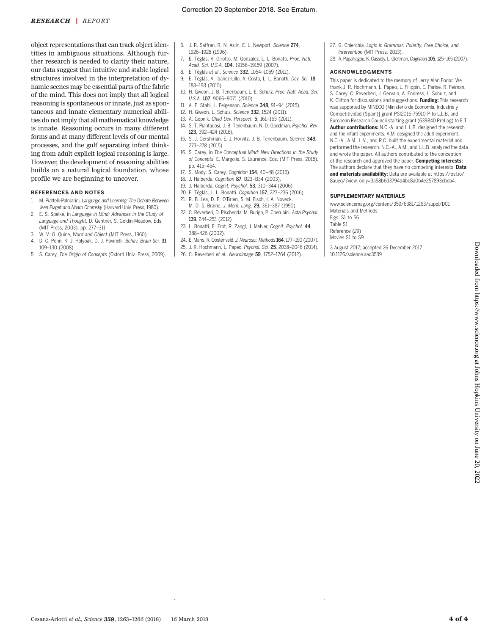object representations that can track object identities in ambiguous situations. Although further research is needed to clarify their nature, our data suggest that intuitive and stable logical structures involved in the interpretation of dynamic scenes may be essential parts of the fabric of the mind. This does not imply that all logical reasoning is spontaneous or innate, just as spontaneous and innate elementary numerical abilities do not imply that all mathematical knowledge is innate. Reasoning occurs in many different forms and at many different levels of our mental processes, and the gulf separating infant thinking from adult explicit logical reasoning is large. However, the development of reasoning abilities builds on a natural logical foundation, whose profile we are beginning to uncover.

#### REFERENCES AND NOTES

- 1. M. Piattelli-Palmarini, Language and Learning: The Debate Between Jean Piaget and Noam Chomsky (Harvard Univ. Press, 1980).
- 2. E. S. Spelke, in Language in Mind: Advances in the Study of Language and Thought, D. Gentner, S. Goldin-Meadow, Eds. (MIT Press, 2003), pp. 277–311.
- 3. W. V. O. Quine, Word and Object (MIT Press, 1960).
- 4. D. C. Penn, K. J. Holyoak, D. J. Povinelli, Behav. Brain Sci. 31, 109–130 (2008).
- 5. S. Carey, The Origin of Concepts (Oxford Univ. Press, 2009).
- 6. J. R. Saffran, R. N. Aslin, E. L. Newport, Science 274, 1926–1928 (1996).
- 7. E. Téglás, V. Girotto, M. Gonzalez, L. L. Bonatti, Proc. Natl. Acad. Sci. U.S.A. 104, 19156–19159 (2007).
- 8. E. Téglás et al., Science 332, 1054-1059 (2011).<br>9. E. Téglás, A. Ibanez-Lillo, A. Costa, L. J. Bonatti
- 9. E. Téglás, A. Ibanez-Lillo, A. Costa, L. L. Bonatti, Dev. Sci. 18, 183–193 (2015).
- 10. H. Gweon, J. B. Tenenbaum, L. E. Schulz, Proc. Natl. Acad. Sci. U.S.A. 107, 9066–9071 (2010).
- 11. A. E. Stahl, L. Feigenson, Science 348, 91–94 (2015).
- 12. H. Gweon, L. Schulz, Science 332, 1524 (2011).
- 13. A. Gopnik, Child Dev. Perspect. 5, 161–163 (2011).
- 14. S. T. Piantadosi, J. B. Tenenbaum, N. D. Goodman, Psychol. Rev. 123, 392–424 (2016).
- 15. S. J. Gershman, E. J. Horvitz, J. B. Tenenbaum, Science 349, 273–278 (2015).
- 16. S. Carey, in The Conceptual Mind: New Directions in the Study of Concepts, E. Margolis, S. Laurence, Eds. (MIT Press, 2015), pp. 415–454.
- 17. S. Mody, S. Carey, Cognition 154, 40–48 (2016).
- 18. J. Halberda, Cognition 87, B23–B34 (2003).
- 19. J. Halberda, Cognit. Psychol. 53, 310–344 (2006).
- 20. E. Téglás, L. L. Bonatti, Cognition 157, 227–236 (2016). 21. R. B. Lea, D. P. O'Brien, S. M. Fisch, I. A. Noveck,
- M. D. S. Braine, J. Mem. Lang. 29, 361–387 (1990).
- 22. C. Reverberi, D. Pischedda, M. Burigo, P. Cherubini, Acta Psychol. 139, 244–253 (2012).
- 23. L. Bonatti, E. Frot, R. Zangl, J. Mehler, Cognit. Psychol. 44, 388–426 (2002).
- 24. E. Maris, R. Oostenveld, J. Neurosci. Methods 164, 177–190 (2007).
- 25. J. R. Hochmann, L. Papeo, Psychol. Sci. 25, 2038–2046 (2014).
- 26. C. Reverberi et al., Neuroimage 59, 1752–1764 (2012).
- 27. G. Chierchia, Logic in Grammar: Polarity, Free Choice, and Intervention (MIT Press, 2013).
- 28. A. Papafragou, K. Cassidy, L. Gleitman, Cognition 105, 125–165 (2007).

#### ACKNOWLEDGMENTS

This paper is dedicated to the memory of Jerry Alan Fodor. We thank J. R. Hochmann, L. Papeo, L. Filippin, E. Parise, R. Feiman, S. Carey, C. Reverberi, J. Gervain, A. Endress, L. Schulz, and K. Clifton for discussions and suggestions. Funding: This research was supported by MINECO [Ministerio de Economía, Industria y Competitividad (Spain)] grant PSI2016-75910-P to L.L.B. and European Research Council starting grant (639840 PreLog) to E.T. Author contributions: N.C.-A. and L.L.B. designed the research and the infant experiments. A.M. designed the adult experiment. N.C.-A., A.M., L.V., and R.C. built the experimental material and performed the research. N.C.-A., A.M., and L.L.B. analyzed the data and wrote the paper. All authors contributed to the conception of the research and approved the paper. Competing interests: The authors declare that they have no competing interests. Data and materials availability: Data are available at [https://osf.io/](https://osf.io/8aueq/?view_only=3a58b6d3794d4bc8a0b4e257893cbda4) [8aueq/?view\\_only=3a58b6d3794d4bc8a0b4e257893cbda4.](https://osf.io/8aueq/?view_only=3a58b6d3794d4bc8a0b4e257893cbda4)

#### SUPPLEMENTARY MATERIALS

[www.sciencemag.org/content/359/6381/1263/suppl/DC1](http://www.sciencemag.org/content/359/6381/1263/suppl/DC1) Materials and Methods Figs. S1 to S6 Table S1 Reference (29) Movies S1 to S9

3 August 2017; accepted 26 December 2017 10.1126/science.aao3539